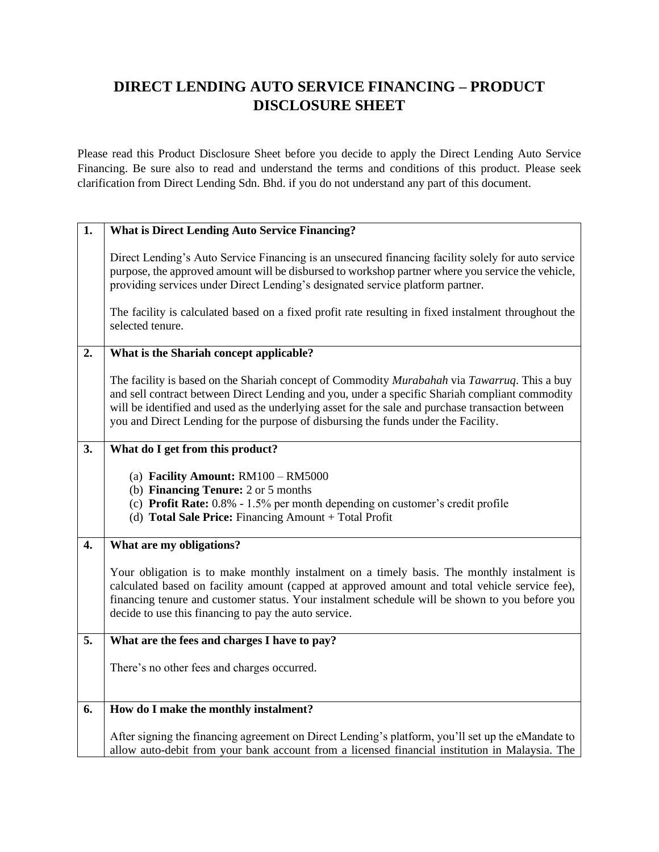## **DIRECT LENDING AUTO SERVICE FINANCING – PRODUCT DISCLOSURE SHEET**

Please read this Product Disclosure Sheet before you decide to apply the Direct Lending Auto Service Financing. Be sure also to read and understand the terms and conditions of this product. Please seek clarification from Direct Lending Sdn. Bhd. if you do not understand any part of this document.

| $\overline{1}$ . | <b>What is Direct Lending Auto Service Financing?</b>                                                                                                                                                                                                                                                                                                                                     |
|------------------|-------------------------------------------------------------------------------------------------------------------------------------------------------------------------------------------------------------------------------------------------------------------------------------------------------------------------------------------------------------------------------------------|
|                  | Direct Lending's Auto Service Financing is an unsecured financing facility solely for auto service<br>purpose, the approved amount will be disbursed to workshop partner where you service the vehicle,<br>providing services under Direct Lending's designated service platform partner.                                                                                                 |
|                  | The facility is calculated based on a fixed profit rate resulting in fixed instalment throughout the<br>selected tenure.                                                                                                                                                                                                                                                                  |
| 2.               | What is the Shariah concept applicable?                                                                                                                                                                                                                                                                                                                                                   |
|                  | The facility is based on the Shariah concept of Commodity Murabahah via Tawarruq. This a buy<br>and sell contract between Direct Lending and you, under a specific Shariah compliant commodity<br>will be identified and used as the underlying asset for the sale and purchase transaction between<br>you and Direct Lending for the purpose of disbursing the funds under the Facility. |
| 3.               | What do I get from this product?                                                                                                                                                                                                                                                                                                                                                          |
|                  | (a) Facility Amount: $RM100 - RM5000$<br>(b) <b>Financing Tenure:</b> 2 or 5 months<br>(c) Profit Rate: 0.8% - 1.5% per month depending on customer's credit profile<br>(d) Total Sale Price: Financing Amount + Total Profit                                                                                                                                                             |
| $\overline{4}$ . | What are my obligations?                                                                                                                                                                                                                                                                                                                                                                  |
|                  | Your obligation is to make monthly instalment on a timely basis. The monthly instalment is<br>calculated based on facility amount (capped at approved amount and total vehicle service fee),<br>financing tenure and customer status. Your instalment schedule will be shown to you before you<br>decide to use this financing to pay the auto service.                                   |
| 5.               | What are the fees and charges I have to pay?                                                                                                                                                                                                                                                                                                                                              |
|                  | There's no other fees and charges occurred.                                                                                                                                                                                                                                                                                                                                               |
| 6.               | How do I make the monthly instalment?                                                                                                                                                                                                                                                                                                                                                     |
|                  | After signing the financing agreement on Direct Lending's platform, you'll set up the eMandate to<br>allow auto-debit from your bank account from a licensed financial institution in Malaysia. The                                                                                                                                                                                       |